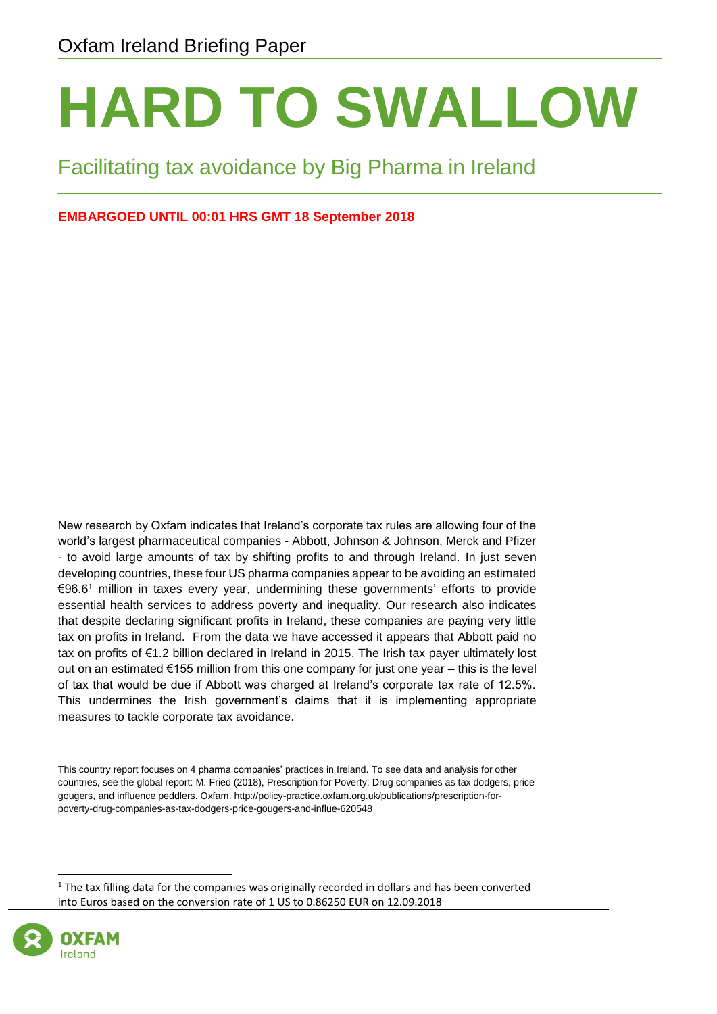# **HARD TO SWALLOW**

#### Facilitating tax avoidance by Big Pharma in Ireland

#### **EMBARGOED UNTIL 00:01 HRS GMT 18 September 2018**

New research by Oxfam indicates that Ireland's corporate tax rules are allowing four of the world's largest pharmaceutical companies - Abbott, Johnson & Johnson, Merck and Pfizer - to avoid large amounts of tax by shifting profits to and through Ireland. In just seven developing countries, these four US pharma companies appear to be avoiding an estimated €96.6 <sup>1</sup> million in taxes every year, undermining these governments' efforts to provide essential health services to address poverty and inequality. Our research also indicates that despite declaring significant profits in Ireland, these companies are paying very little tax on profits in Ireland. From the data we have accessed it appears that Abbott paid no tax on profits of €1.2 billion declared in Ireland in 2015. The Irish tax payer ultimately lost out on an estimated €155 million from this one company for just one year – this is the level of tax that would be due if Abbott was charged at Ireland's corporate tax rate of 12.5%. This undermines the Irish government's claims that it is implementing appropriate measures to tackle corporate tax avoidance.

This country report focuses on 4 pharma companies' practices in Ireland. To see data and analysis for other countries, see the global report: M. Fried (2018), Prescription for Poverty: Drug companies as tax dodgers, price gougers, and influence peddlers. Oxfam. http://policy-practice.oxfam.org.uk/publications/prescription-forpoverty-drug-companies-as-tax-dodgers-price-gougers-and-influe-620548

<sup>1</sup> The tax filling data for the companies was originally recorded in dollars and has been converted into Euros based on the conversion rate of 1 US to 0.86250 EUR on 12.09.2018

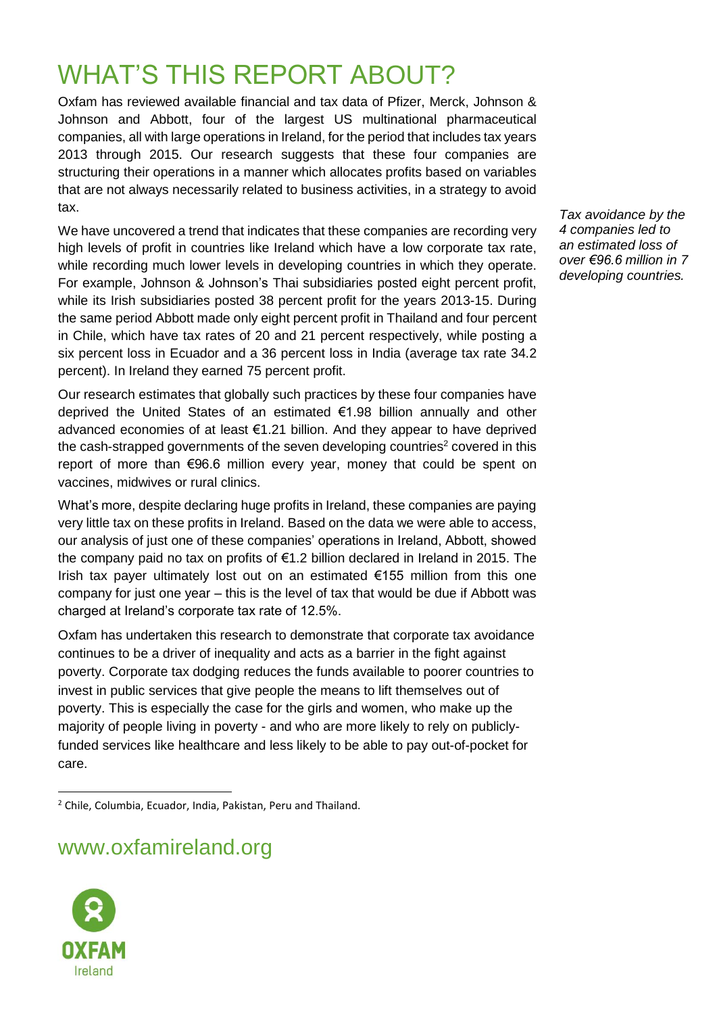## WHAT'S THIS REPORT ABOUT?

Oxfam has reviewed available financial and tax data of Pfizer, Merck, Johnson & Johnson and Abbott, four of the largest US multinational pharmaceutical companies, all with large operations in Ireland, for the period that includes tax years 2013 through 2015. Our research suggests that these four companies are structuring their operations in a manner which allocates profits based on variables that are not always necessarily related to business activities, in a strategy to avoid tax.

We have uncovered a trend that indicates that these companies are recording very high levels of profit in countries like Ireland which have a low corporate tax rate, while recording much lower levels in developing countries in which they operate. For example, Johnson & Johnson's Thai subsidiaries posted eight percent profit, while its Irish subsidiaries posted 38 percent profit for the years 2013-15. During the same period Abbott made only eight percent profit in Thailand and four percent in Chile, which have tax rates of 20 and 21 percent respectively, while posting a six percent loss in Ecuador and a 36 percent loss in India (average tax rate 34.2 percent). In Ireland they earned 75 percent profit.

Our research estimates that globally such practices by these four companies have deprived the United States of an estimated €1.98 billion annually and other advanced economies of at least €1.21 billion. And they appear to have deprived the cash-strapped governments of the seven developing countries<sup>2</sup> covered in this report of more than €96.6 million every year, money that could be spent on vaccines, midwives or rural clinics.

What's more, despite declaring huge profits in Ireland, these companies are paying very little tax on these profits in Ireland. Based on the data we were able to access, our analysis of just one of these companies' operations in Ireland, Abbott, showed the company paid no tax on profits of €1.2 billion declared in Ireland in 2015. The Irish tax payer ultimately lost out on an estimated  $\epsilon$ 155 million from this one company for just one year – this is the level of tax that would be due if Abbott was charged at Ireland's corporate tax rate of 12.5%.

Oxfam has undertaken this research to demonstrate that corporate tax avoidance continues to be a driver of inequality and acts as a barrier in the fight against poverty. Corporate tax dodging reduces the funds available to poorer countries to invest in public services that give people the means to lift themselves out of poverty. This is especially the case for the girls and women, who make up the majority of people living in poverty - and who are more likely to rely on publiclyfunded services like healthcare and less likely to be able to pay out-of-pocket for care.

#### www.oxfamireland.org



*Tax avoidance by the 4 companies led to an estimated loss of over €96.6 million in 7 developing countries.*

<sup>2</sup> Chile, Columbia, Ecuador, India, Pakistan, Peru and Thailand.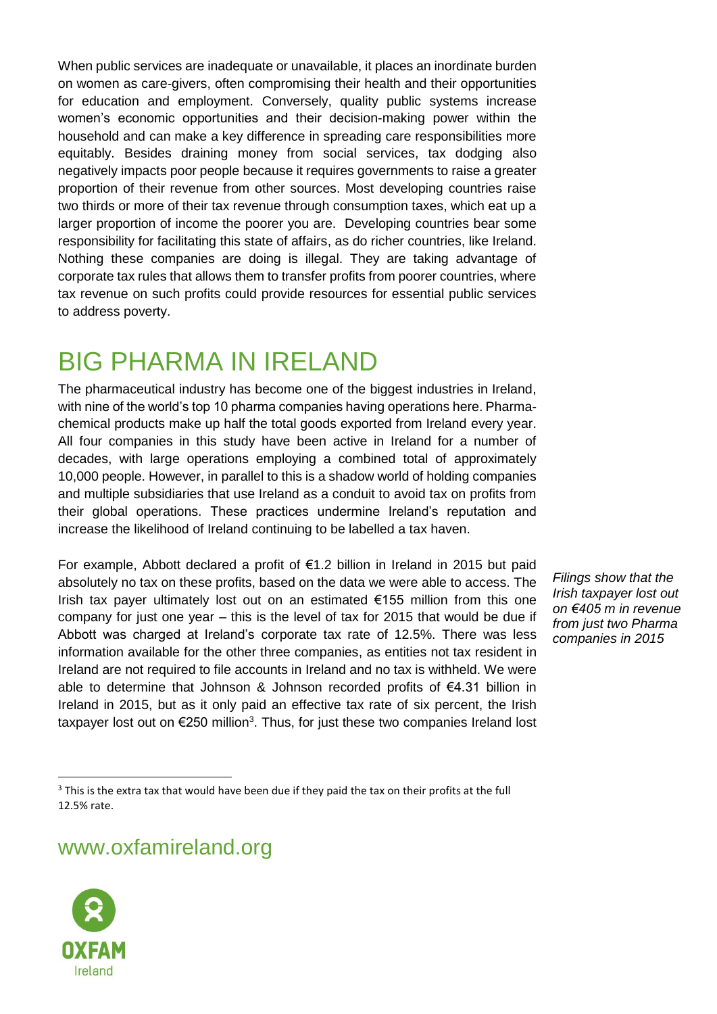When public services are inadequate or unavailable, it places an inordinate burden on women as care-givers, often compromising their health and their opportunities for education and employment. Conversely, quality public systems increase women's economic opportunities and their decision-making power within the household and can make a key difference in spreading care responsibilities more equitably. Besides draining money from social services, tax dodging also negatively impacts poor people because it requires governments to raise a greater proportion of their revenue from other sources. Most developing countries raise two thirds or more of their tax revenue through consumption taxes, which eat up a larger proportion of income the poorer you are. Developing countries bear some responsibility for facilitating this state of affairs, as do richer countries, like Ireland. Nothing these companies are doing is illegal. They are taking advantage of corporate tax rules that allows them to transfer profits from poorer countries, where tax revenue on such profits could provide resources for essential public services to address poverty.

### BIG PHARMA IN IRELAND

The pharmaceutical industry has become one of the biggest industries in Ireland, with nine of the world's top 10 pharma companies having operations here. Pharmachemical products make up half the total goods exported from Ireland every year. All four companies in this study have been active in Ireland for a number of decades, with large operations employing a combined total of approximately 10,000 people. However, in parallel to this is a shadow world of holding companies and multiple subsidiaries that use Ireland as a conduit to avoid tax on profits from their global operations. These practices undermine Ireland's reputation and increase the likelihood of Ireland continuing to be labelled a tax haven.

For example, Abbott declared a profit of €1.2 billion in Ireland in 2015 but paid absolutely no tax on these profits, based on the data we were able to access. The Irish tax payer ultimately lost out on an estimated €155 million from this one company for just one year – this is the level of tax for 2015 that would be due if Abbott was charged at Ireland's corporate tax rate of 12.5%. There was less information available for the other three companies, as entities not tax resident in Ireland are not required to file accounts in Ireland and no tax is withheld. We were able to determine that Johnson & Johnson recorded profits of  $\epsilon$ 4.31 billion in Ireland in 2015, but as it only paid an effective tax rate of six percent, the Irish taxpayer lost out on  $\epsilon$ 250 million<sup>3</sup>. Thus, for just these two companies Ireland lost

*Filings show that the Irish taxpayer lost out on €405 m in revenue from just two Pharma companies in 2015* 

www.oxfamireland.org



 $3$  This is the extra tax that would have been due if they paid the tax on their profits at the full 12.5% rate.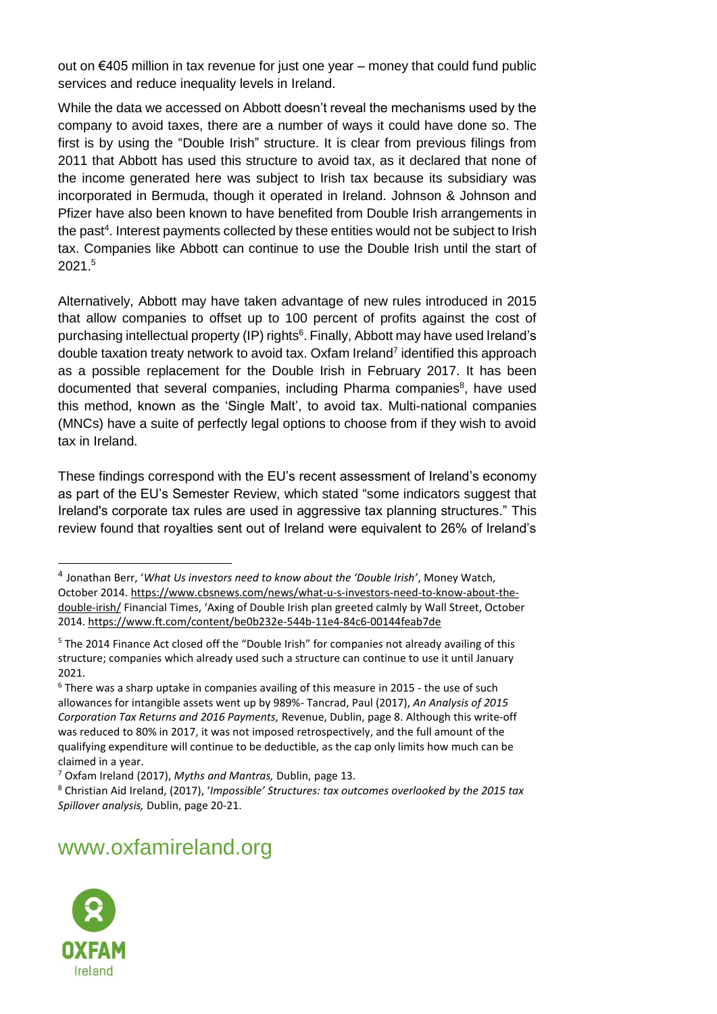out on  $€405$  million in tax revenue for just one year – money that could fund public services and reduce inequality levels in Ireland.

While the data we accessed on Abbott doesn't reveal the mechanisms used by the company to avoid taxes, there are a number of ways it could have done so. The first is by using the "Double Irish" structure. It is clear from previous filings from 2011 that Abbott has used this structure to avoid tax, as it declared that none of the income generated here was subject to Irish tax because its subsidiary was incorporated in Bermuda, though it operated in Ireland. Johnson & Johnson and Pfizer have also been known to have benefited from Double Irish arrangements in the past<sup>4</sup>. Interest payments collected by these entities would not be subject to Irish tax. Companies like Abbott can continue to use the Double Irish until the start of 2021.<sup>5</sup>

Alternatively, Abbott may have taken advantage of new rules introduced in 2015 that allow companies to offset up to 100 percent of profits against the cost of purchasing intellectual property (IP) rights<sup>6</sup>. Finally, Abbott may have used Ireland's double taxation treaty network to avoid tax. Oxfam Ireland<sup>7</sup> identified this approach as a possible replacement for the Double Irish in February 2017. It has been documented that several companies, including Pharma companies<sup>8</sup>, have used this method, known as the 'Single Malt', to avoid tax. Multi-national companies (MNCs) have a suite of perfectly legal options to choose from if they wish to avoid tax in Ireland.

These findings correspond with the EU's recent assessment of Ireland's economy as part of the EU's Semester Review, which stated "some indicators suggest that Ireland's corporate tax rules are used in aggressive tax planning structures." This review found that royalties sent out of Ireland were equivalent to 26% of Ireland's

#### www.oxfamireland.org



<sup>4</sup> Jonathan Berr, '*What Us investors need to know about the 'Double Irish'*, Money Watch, October 2014[. https://www.cbsnews.com/news/what-u-s-investors-need-to-know-about-the](https://www.cbsnews.com/news/what-u-s-investors-need-to-know-about-the-double-irish/)[double-irish/](https://www.cbsnews.com/news/what-u-s-investors-need-to-know-about-the-double-irish/) Financial Times, 'Axing of Double Irish plan greeted calmly by Wall Street, October 2014.<https://www.ft.com/content/be0b232e-544b-11e4-84c6-00144feab7de>

<sup>5</sup> The 2014 Finance Act closed off the "Double Irish" for companies not already availing of this structure; companies which already used such a structure can continue to use it until January 2021.

<sup>6</sup> There was a sharp uptake in companies availing of this measure in 2015 - the use of such allowances for intangible assets went up by 989%- Tancrad, Paul (2017), *An Analysis of 2015 Corporation Tax Returns and 2016 Payments,* Revenue, Dublin, page 8. Although this write-off was reduced to 80% in 2017, it was not imposed retrospectively, and the full amount of the qualifying expenditure will continue to be deductible, as the cap only limits how much can be claimed in a year.

<sup>7</sup> Oxfam Ireland (2017), *Myths and Mantras,* Dublin, page 13.

<sup>8</sup> Christian Aid Ireland, (2017), '*Impossible' Structures: tax outcomes overlooked by the 2015 tax Spillover analysis,* Dublin, page 20-21.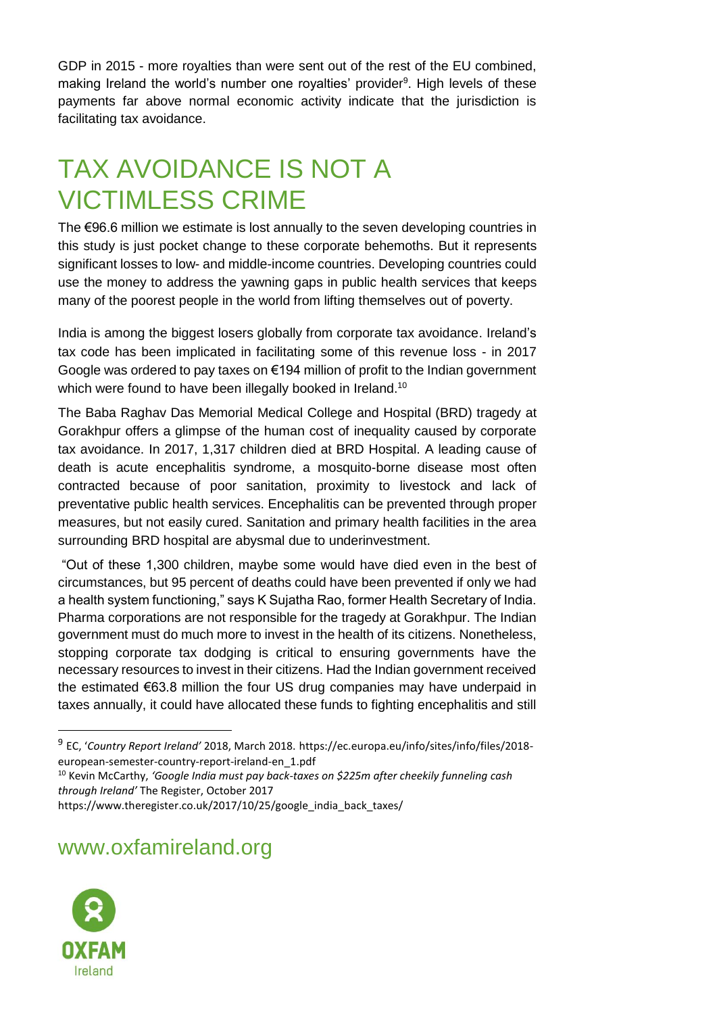GDP in 2015 - more royalties than were sent out of the rest of the EU combined, making Ireland the world's number one royalties' provider<sup>9</sup>. High levels of these payments far above normal economic activity indicate that the jurisdiction is facilitating tax avoidance.

## TAX AVOIDANCE IS NOT A VICTIMLESS CRIME

The €96.6 million we estimate is lost annually to the seven developing countries in this study is just pocket change to these corporate behemoths. But it represents significant losses to low- and middle-income countries. Developing countries could use the money to address the yawning gaps in public health services that keeps many of the poorest people in the world from lifting themselves out of poverty.

India is among the biggest losers globally from corporate tax avoidance. Ireland's tax code has been implicated in facilitating some of this revenue loss - in 2017 Google was ordered to pay taxes on  $\epsilon$ 194 million of profit to the Indian government which were found to have been illegally booked in Ireland.<sup>10</sup>

The Baba Raghav Das Memorial Medical College and Hospital (BRD) tragedy at Gorakhpur offers a glimpse of the human cost of inequality caused by corporate tax avoidance. In 2017, 1,317 children died at BRD Hospital. A leading cause of death is acute encephalitis syndrome, a mosquito-borne disease most often contracted because of poor sanitation, proximity to livestock and lack of preventative public health services. Encephalitis can be prevented through proper measures, but not easily cured. Sanitation and primary health facilities in the area surrounding BRD hospital are abysmal due to underinvestment.

"Out of these 1,300 children, maybe some would have died even in the best of circumstances, but 95 percent of deaths could have been prevented if only we had a health system functioning," says K Sujatha Rao, former Health Secretary of India. Pharma corporations are not responsible for the tragedy at Gorakhpur. The Indian government must do much more to invest in the health of its citizens. Nonetheless, stopping corporate tax dodging is critical to ensuring governments have the necessary resources to invest in their citizens. Had the Indian government received the estimated €63.8 million the four US drug companies may have underpaid in taxes annually, it could have allocated these funds to fighting encephalitis and still

<sup>10</sup> Kevin McCarthy, *'Google India must pay back-taxes on \$225m after cheekily funneling cash through Ireland'* The Register, October 2017

https://www.theregister.co.uk/2017/10/25/google\_india\_back\_taxes/

www.oxfamireland.org



<sup>9</sup> EC, '*Country Report Ireland'* 2018, March 2018. https://ec.europa.eu/info/sites/info/files/2018 european-semester-country-report-ireland-en\_1.pdf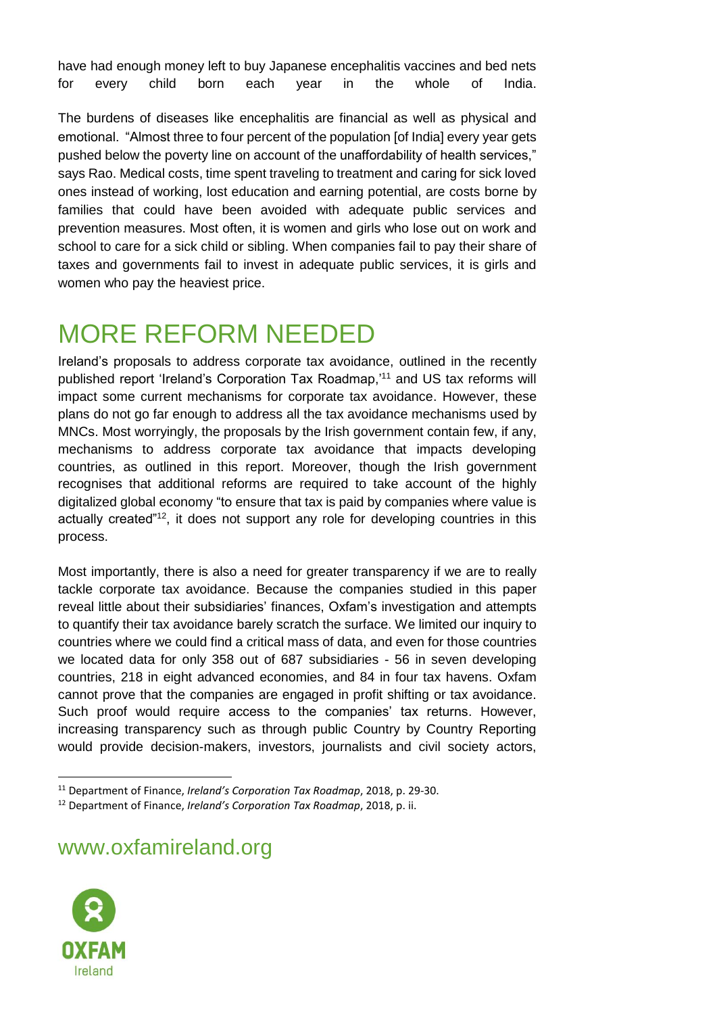have had enough money left to buy Japanese encephalitis vaccines and bed nets for every child born each year in the whole of India.

The burdens of diseases like encephalitis are financial as well as physical and emotional. "Almost three to four percent of the population [of India] every year gets pushed below the poverty line on account of the unaffordability of health services," says Rao. Medical costs, time spent traveling to treatment and caring for sick loved ones instead of working, lost education and earning potential, are costs borne by families that could have been avoided with adequate public services and prevention measures. Most often, it is women and girls who lose out on work and school to care for a sick child or sibling. When companies fail to pay their share of taxes and governments fail to invest in adequate public services, it is girls and women who pay the heaviest price.

## MORE REFORM NEEDED

Ireland's proposals to address corporate tax avoidance, outlined in the recently published report 'Ireland's Corporation Tax Roadmap,' <sup>11</sup> and US tax reforms will impact some current mechanisms for corporate tax avoidance. However, these plans do not go far enough to address all the tax avoidance mechanisms used by MNCs. Most worryingly, the proposals by the Irish government contain few, if any, mechanisms to address corporate tax avoidance that impacts developing countries, as outlined in this report. Moreover, though the Irish government recognises that additional reforms are required to take account of the highly digitalized global economy "to ensure that tax is paid by companies where value is actually created<sup>"12</sup>, it does not support any role for developing countries in this process.

Most importantly, there is also a need for greater transparency if we are to really tackle corporate tax avoidance. Because the companies studied in this paper reveal little about their subsidiaries' finances, Oxfam's investigation and attempts to quantify their tax avoidance barely scratch the surface. We limited our inquiry to countries where we could find a critical mass of data, and even for those countries we located data for only 358 out of 687 subsidiaries - 56 in seven developing countries, 218 in eight advanced economies, and 84 in four tax havens. Oxfam cannot prove that the companies are engaged in profit shifting or tax avoidance. Such proof would require access to the companies' tax returns. However, increasing transparency such as through public Country by Country Reporting would provide decision-makers, investors, journalists and civil society actors,

www.oxfamireland.org



<sup>11</sup> Department of Finance, *Ireland's Corporation Tax Roadmap*, 2018, p. 29-30.

<sup>12</sup> Department of Finance, *Ireland's Corporation Tax Roadmap*, 2018, p. ii.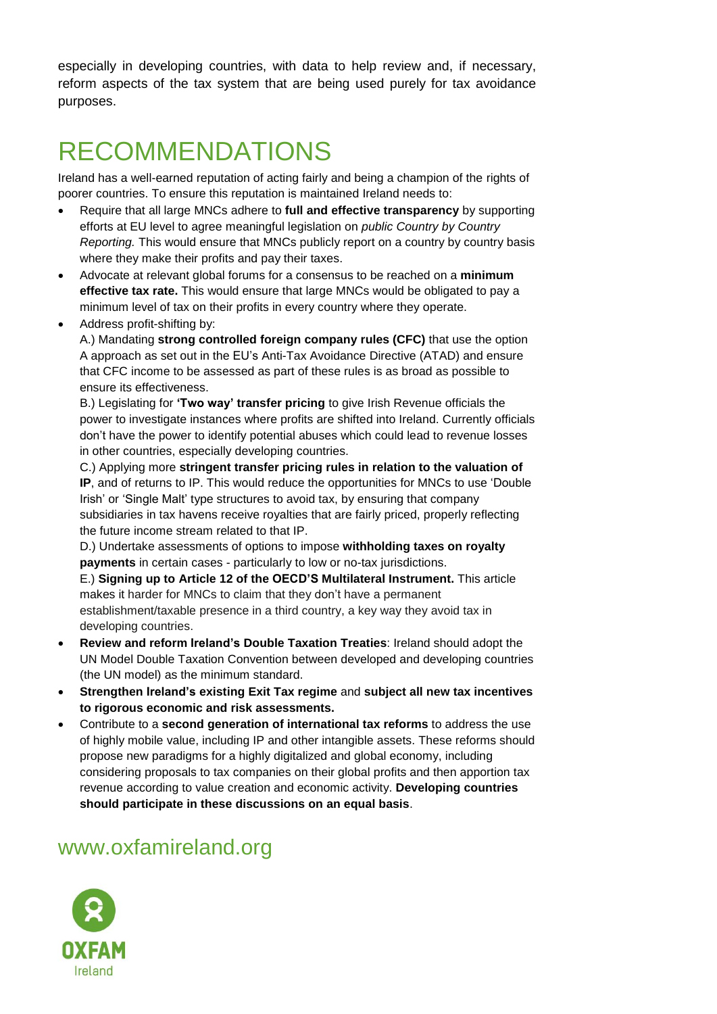especially in developing countries, with data to help review and, if necessary, reform aspects of the tax system that are being used purely for tax avoidance purposes.

## RECOMMENDATIONS

Ireland has a well-earned reputation of acting fairly and being a champion of the rights of poorer countries. To ensure this reputation is maintained Ireland needs to:

- Require that all large MNCs adhere to **full and effective transparency** by supporting efforts at EU level to agree meaningful legislation on *public Country by Country Reporting.* This would ensure that MNCs publicly report on a country by country basis where they make their profits and pay their taxes.
- Advocate at relevant global forums for a consensus to be reached on a **minimum effective tax rate.** This would ensure that large MNCs would be obligated to pay a minimum level of tax on their profits in every country where they operate.
- Address profit-shifting by:

A.) Mandating **strong controlled foreign company rules (CFC)** that use the option A approach as set out in the EU's Anti-Tax Avoidance Directive (ATAD) and ensure that CFC income to be assessed as part of these rules is as broad as possible to ensure its effectiveness.

B.) Legislating for **'Two way' transfer pricing** to give Irish Revenue officials the power to investigate instances where profits are shifted into Ireland. Currently officials don't have the power to identify potential abuses which could lead to revenue losses in other countries, especially developing countries.

C.) Applying more **stringent transfer pricing rules in relation to the valuation of IP**, and of returns to IP. This would reduce the opportunities for MNCs to use 'Double Irish' or 'Single Malt' type structures to avoid tax, by ensuring that company subsidiaries in tax havens receive royalties that are fairly priced, properly reflecting the future income stream related to that IP.

D.) Undertake assessments of options to impose **withholding taxes on royalty payments** in certain cases - particularly to low or no-tax jurisdictions.

E.) **Signing up to Article 12 of the OECD'S Multilateral Instrument.** This article makes it harder for MNCs to claim that they don't have a permanent establishment/taxable presence in a third country, a key way they avoid tax in developing countries.

- **Review and reform Ireland's Double Taxation Treaties**: Ireland should adopt the UN Model Double Taxation Convention between developed and developing countries (the UN model) as the minimum standard.
- **Strengthen Ireland's existing Exit Tax regime** and **subject all new tax incentives to rigorous economic and risk assessments.**
- Contribute to a **second generation of international tax reforms** to address the use of highly mobile value, including IP and other intangible assets. These reforms should propose new paradigms for a highly digitalized and global economy, including considering proposals to tax companies on their global profits and then apportion tax revenue according to value creation and economic activity. **Developing countries should participate in these discussions on an equal basis**.

#### www.oxfamireland.org